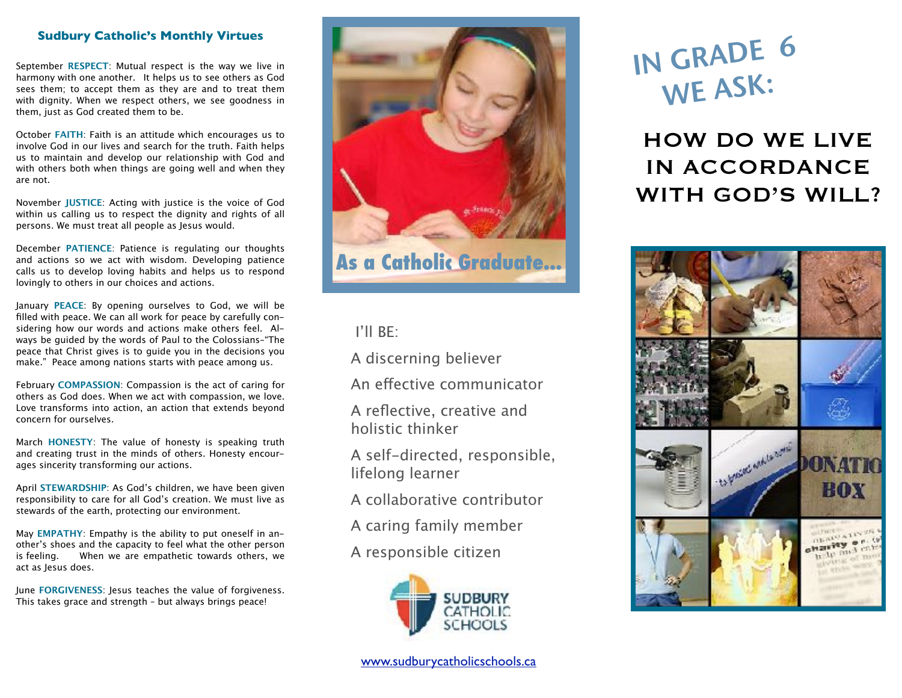### **Sudbury Catholic's Monthly Virtues**

September **RESPECT**: Mutual respect is the way we live in harmony with one another. It helps us to see others as God sees them; to accept them as they are and to treat them with dignity. When we respect others, we see goodness in them, just as God created them to be.

October **FAITH**: Faith is an attitude which encourages us to involve God in our lives and search for the truth. Faith helps us to maintain and develop our relationship with God and with others both when things are going well and when they are not.

November **JUSTICE**: Acting with justice is the voice of God within us calling us to respect the dignity and rights of all persons. We must treat all people as Jesus would.

December **PATIENCE**: Patience is regulating our thoughts and actions so we act with wisdom. Developing patience calls us to develop loving habits and helps us to respond lovingly to others in our choices and actions.

January **PEACE**: By opening ourselves to God, we will be filled with peace. We can all work for peace by carefully considering how our words and actions make others feel. Always be guided by the words of Paul to the Colossians–"The peace that Christ gives is to guide you in the decisions you make." Peace among nations starts with peace among us.

February **COMPASSION**: Compassion is the act of caring for others as God does. When we act with compassion, we love. Love transforms into action, an action that extends beyond concern for ourselves.

March **HONESTY**: The value of honesty is speaking truth and creating trust in the minds of others. Honesty encourages sincerity transforming our actions.

April **STEWARDSHIP**: As God's children, we have been given responsibility to care for all God's creation. We must live as stewards of the earth, protecting our environment.

May **EMPATHY**: Empathy is the ability to put oneself in another's shoes and the capacity to feel what the other person is feeling. When we are empathetic towards others, we act as Jesus does.

June **FORGIVENESS**: Jesus teaches the value of forgiveness. This takes grace and strength – but always brings peace!



# I'll BE:

A discerning believer

An efective communicator

A reflective, creative and holistic thinker

A self-directed, responsible, lifelong learner

- A collaborative contributor
- A caring family member

A responsible citizen



# IN GRADE <sup>6</sup> WE ASK:

HOW DO WE LIVE IN ACCORDANCE WITH GOD'S WILL?